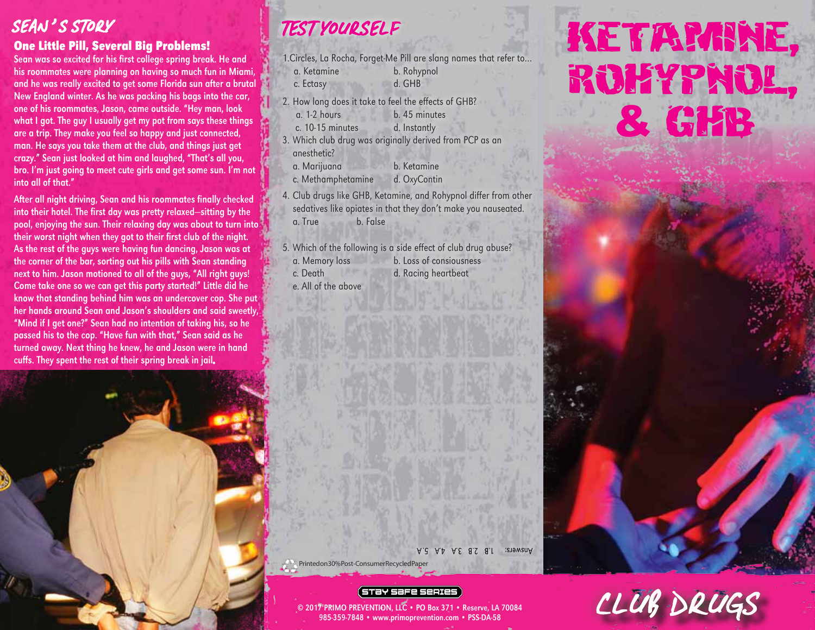## SEAN'S STORY

#### One Little Pill, Several Big Problems!

Sean was so excited for his first college spring break. He and his roommates were planning on having so much fun in Miami, and he was really excited to get some Florida sun after a brutal New England winter. As he was packing his bags into the car, one of his roommates, Jason, came outside. "Hey man, look what I got. The guy I usually get my pot from says these things are a trip. They make you feel so happy and just connected, man. He says you take them at the club, and things just get crazy." Sean just looked at him and laughed, "That's all you, bro. I'm just going to meet cute girls and get some sun. I'm not into all of that."

After all night driving, Sean and his roommates finally checked into their hotel. The first day was pretty relaxed—sitting by the pool, enjoying the sun. Their relaxing day was about to turn into their worst night when they got to their first club of the night. As the rest of the guys were having fun dancing, Jason was at the corner of the bar, sorting out his pills with Sean standing next to him. Jason motioned to all of the guys, "All right guys! Come take one so we can get this party started!" Little did he know that standing behind him was an undercover cop. She put her hands around Sean and Jason's shoulders and said sweetly, "Mind if I get one?" Sean had no intention of taking his, so he passed his to the cop. "Have fun with that," Sean said as he turned away. Next thing he knew, he and Jason were in hand cuffs. They spent the rest of their spring break in jail.



- 1.Circles, La Rocha, Forget-Me Pill are slang names that refer to… a. Ketamine b. Rohypnol
- c. Ectasy d. GHB
- 2. How long does it take to feel the effects of GHB?
	- a. 1-2 hours b. 45 minutes
	- c. 10-15 minutes d. Instantly
- 3. Which club drug was originally derived from PCP as an anesthetic?
	- a. Marijuana b. Ketamine
	- c. Methamphetamine d. OxyContin
- 4. Club drugs like GHB, Ketamine, and Rohypnol differ from other sedatives like opiates in that they don't make you nauseated. a. True b. False

5. Which of the following is a side effect of club drug abuse?

- a. Memory loss b. Loss of consiousness c. Death d. Racing heartbeat
- e. All of the above

KETARANE, rohypnol, & GHB

Answers: 1.B 3.S 8.I 3.19 3.A 5.A Printed on 30% Post-Consumer Recycled Pape

#### (STƏY SƏFE SERIES

© 2017 PRIMO PREVENTION, LLC • PO Box 371 • Reserve, LA 70084 985-359-7848 • www.primoprevention.com • PSS-DA-58